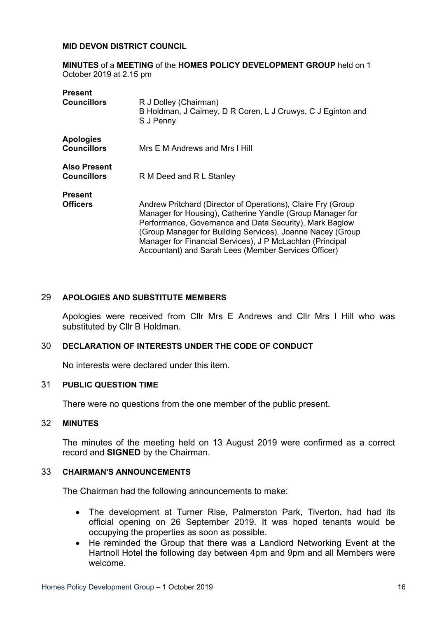#### **MID DEVON DISTRICT COUNCIL**

**MINUTES** of a **MEETING** of the **HOMES POLICY DEVELOPMENT GROUP** held on 1 October 2019 at 2.15 pm

| <b>Present</b>                            |                                                                                                                                                                                                                                                                                                                                                                         |
|-------------------------------------------|-------------------------------------------------------------------------------------------------------------------------------------------------------------------------------------------------------------------------------------------------------------------------------------------------------------------------------------------------------------------------|
| <b>Councillors</b>                        | R J Dolley (Chairman)<br>B Holdman, J Cairney, D R Coren, L J Cruwys, C J Eginton and<br>S J Penny                                                                                                                                                                                                                                                                      |
| <b>Apologies</b><br><b>Councillors</b>    | Mrs E M Andrews and Mrs I Hill                                                                                                                                                                                                                                                                                                                                          |
| <b>Also Present</b><br><b>Councillors</b> | R M Deed and R L Stanley                                                                                                                                                                                                                                                                                                                                                |
| <b>Present</b>                            |                                                                                                                                                                                                                                                                                                                                                                         |
| <b>Officers</b>                           | Andrew Pritchard (Director of Operations), Claire Fry (Group<br>Manager for Housing), Catherine Yandle (Group Manager for<br>Performance, Governance and Data Security), Mark Baglow<br>(Group Manager for Building Services), Joanne Nacey (Group<br>Manager for Financial Services), J P McLachlan (Principal<br>Accountant) and Sarah Lees (Member Services Officer) |

#### 29 **APOLOGIES AND SUBSTITUTE MEMBERS**

Apologies were received from Cllr Mrs E Andrews and Cllr Mrs I Hill who was substituted by Cllr B Holdman.

#### 30 **DECLARATION OF INTERESTS UNDER THE CODE OF CONDUCT**

No interests were declared under this item.

#### 31 **PUBLIC QUESTION TIME**

There were no questions from the one member of the public present.

# 32 **MINUTES**

The minutes of the meeting held on 13 August 2019 were confirmed as a correct record and **SIGNED** by the Chairman.

#### 33 **CHAIRMAN'S ANNOUNCEMENTS**

The Chairman had the following announcements to make:

- The development at Turner Rise, Palmerston Park, Tiverton, had had its official opening on 26 September 2019. It was hoped tenants would be occupying the properties as soon as possible.
- He reminded the Group that there was a Landlord Networking Event at the Hartnoll Hotel the following day between 4pm and 9pm and all Members were welcome.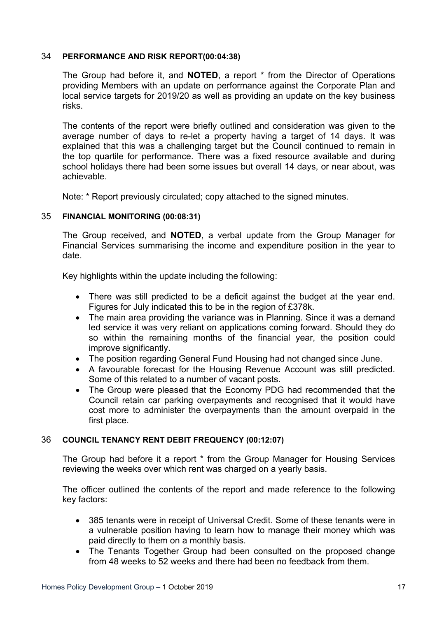### 34 **PERFORMANCE AND RISK REPORT(00:04:38)**

The Group had before it, and **NOTED**, a report \* from the Director of Operations providing Members with an update on performance against the Corporate Plan and local service targets for 2019/20 as well as providing an update on the key business risks.

The contents of the report were briefly outlined and consideration was given to the average number of days to re-let a property having a target of 14 days. It was explained that this was a challenging target but the Council continued to remain in the top quartile for performance. There was a fixed resource available and during school holidays there had been some issues but overall 14 days, or near about, was achievable.

Note: \* Report previously circulated; copy attached to the signed minutes.

### 35 **FINANCIAL MONITORING (00:08:31)**

The Group received, and **NOTED**, a verbal update from the Group Manager for Financial Services summarising the income and expenditure position in the year to date.

Key highlights within the update including the following:

- There was still predicted to be a deficit against the budget at the year end. Figures for July indicated this to be in the region of £378k.
- The main area providing the variance was in Planning. Since it was a demand led service it was very reliant on applications coming forward. Should they do so within the remaining months of the financial year, the position could improve significantly.
- The position regarding General Fund Housing had not changed since June.
- A favourable forecast for the Housing Revenue Account was still predicted. Some of this related to a number of vacant posts.
- The Group were pleased that the Economy PDG had recommended that the Council retain car parking overpayments and recognised that it would have cost more to administer the overpayments than the amount overpaid in the first place.

# 36 **COUNCIL TENANCY RENT DEBIT FREQUENCY (00:12:07)**

The Group had before it a report \* from the Group Manager for Housing Services reviewing the weeks over which rent was charged on a yearly basis.

The officer outlined the contents of the report and made reference to the following key factors:

- 385 tenants were in receipt of Universal Credit. Some of these tenants were in a vulnerable position having to learn how to manage their money which was paid directly to them on a monthly basis.
- The Tenants Together Group had been consulted on the proposed change from 48 weeks to 52 weeks and there had been no feedback from them.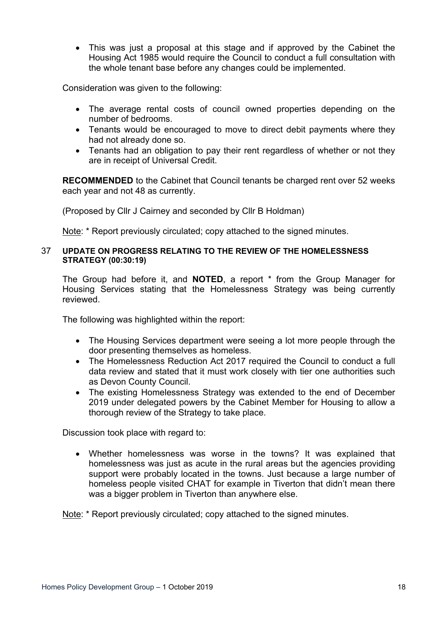This was just a proposal at this stage and if approved by the Cabinet the Housing Act 1985 would require the Council to conduct a full consultation with the whole tenant base before any changes could be implemented.

Consideration was given to the following:

- The average rental costs of council owned properties depending on the number of bedrooms.
- Tenants would be encouraged to move to direct debit payments where they had not already done so.
- Tenants had an obligation to pay their rent regardless of whether or not they are in receipt of Universal Credit.

**RECOMMENDED** to the Cabinet that Council tenants be charged rent over 52 weeks each year and not 48 as currently.

(Proposed by Cllr J Cairney and seconded by Cllr B Holdman)

Note: \* Report previously circulated; copy attached to the signed minutes.

#### 37 **UPDATE ON PROGRESS RELATING TO THE REVIEW OF THE HOMELESSNESS STRATEGY (00:30:19)**

The Group had before it, and **NOTED**, a report \* from the Group Manager for Housing Services stating that the Homelessness Strategy was being currently reviewed.

The following was highlighted within the report:

- The Housing Services department were seeing a lot more people through the door presenting themselves as homeless.
- The Homelessness Reduction Act 2017 required the Council to conduct a full data review and stated that it must work closely with tier one authorities such as Devon County Council.
- The existing Homelessness Strategy was extended to the end of December 2019 under delegated powers by the Cabinet Member for Housing to allow a thorough review of the Strategy to take place.

Discussion took place with regard to:

 Whether homelessness was worse in the towns? It was explained that homelessness was just as acute in the rural areas but the agencies providing support were probably located in the towns. Just because a large number of homeless people visited CHAT for example in Tiverton that didn't mean there was a bigger problem in Tiverton than anywhere else.

Note: \* Report previously circulated; copy attached to the signed minutes.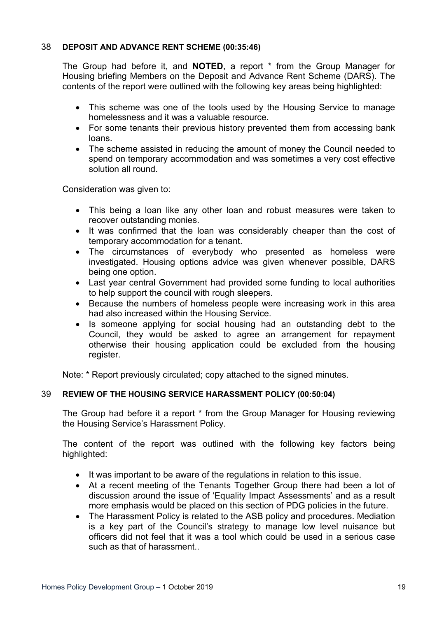# 38 **DEPOSIT AND ADVANCE RENT SCHEME (00:35:46)**

The Group had before it, and **NOTED**, a report \* from the Group Manager for Housing briefing Members on the Deposit and Advance Rent Scheme (DARS). The contents of the report were outlined with the following key areas being highlighted:

- This scheme was one of the tools used by the Housing Service to manage homelessness and it was a valuable resource.
- For some tenants their previous history prevented them from accessing bank loans.
- The scheme assisted in reducing the amount of money the Council needed to spend on temporary accommodation and was sometimes a very cost effective solution all round.

Consideration was given to:

- This being a loan like any other loan and robust measures were taken to recover outstanding monies.
- It was confirmed that the loan was considerably cheaper than the cost of temporary accommodation for a tenant.
- The circumstances of everybody who presented as homeless were investigated. Housing options advice was given whenever possible, DARS being one option.
- Last year central Government had provided some funding to local authorities to help support the council with rough sleepers.
- Because the numbers of homeless people were increasing work in this area had also increased within the Housing Service.
- Is someone applying for social housing had an outstanding debt to the Council, they would be asked to agree an arrangement for repayment otherwise their housing application could be excluded from the housing register.

Note: \* Report previously circulated; copy attached to the signed minutes.

# 39 **REVIEW OF THE HOUSING SERVICE HARASSMENT POLICY (00:50:04)**

The Group had before it a report \* from the Group Manager for Housing reviewing the Housing Service's Harassment Policy.

The content of the report was outlined with the following key factors being highlighted:

- It was important to be aware of the regulations in relation to this issue.
- At a recent meeting of the Tenants Together Group there had been a lot of discussion around the issue of 'Equality Impact Assessments' and as a result more emphasis would be placed on this section of PDG policies in the future.
- The Harassment Policy is related to the ASB policy and procedures. Mediation is a key part of the Council's strategy to manage low level nuisance but officers did not feel that it was a tool which could be used in a serious case such as that of harassment..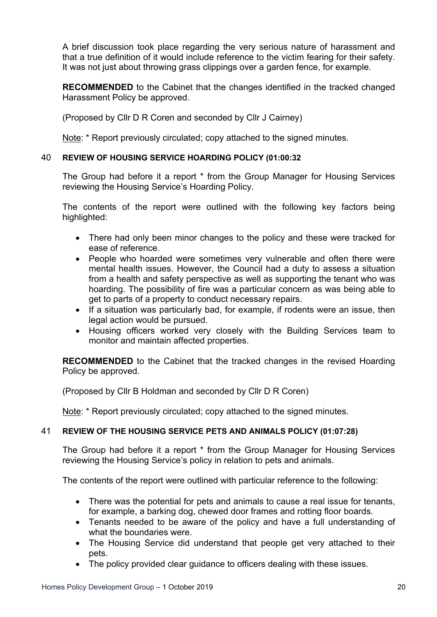A brief discussion took place regarding the very serious nature of harassment and that a true definition of it would include reference to the victim fearing for their safety. It was not just about throwing grass clippings over a garden fence, for example.

**RECOMMENDED** to the Cabinet that the changes identified in the tracked changed Harassment Policy be approved.

(Proposed by Cllr D R Coren and seconded by Cllr J Cairney)

Note: \* Report previously circulated; copy attached to the signed minutes.

# 40 **REVIEW OF HOUSING SERVICE HOARDING POLICY (01:00:32**

The Group had before it a report \* from the Group Manager for Housing Services reviewing the Housing Service's Hoarding Policy.

The contents of the report were outlined with the following key factors being highlighted:

- There had only been minor changes to the policy and these were tracked for ease of reference.
- People who hoarded were sometimes very vulnerable and often there were mental health issues. However, the Council had a duty to assess a situation from a health and safety perspective as well as supporting the tenant who was hoarding. The possibility of fire was a particular concern as was being able to get to parts of a property to conduct necessary repairs.
- If a situation was particularly bad, for example, if rodents were an issue, then legal action would be pursued.
- Housing officers worked very closely with the Building Services team to monitor and maintain affected properties.

**RECOMMENDED** to the Cabinet that the tracked changes in the revised Hoarding Policy be approved.

(Proposed by Cllr B Holdman and seconded by Cllr D R Coren)

Note: \* Report previously circulated; copy attached to the signed minutes.

# 41 **REVIEW OF THE HOUSING SERVICE PETS AND ANIMALS POLICY (01:07:28)**

The Group had before it a report \* from the Group Manager for Housing Services reviewing the Housing Service's policy in relation to pets and animals.

The contents of the report were outlined with particular reference to the following:

- There was the potential for pets and animals to cause a real issue for tenants, for example, a barking dog, chewed door frames and rotting floor boards.
- Tenants needed to be aware of the policy and have a full understanding of what the boundaries were.
- The Housing Service did understand that people get very attached to their pets.
- The policy provided clear guidance to officers dealing with these issues.